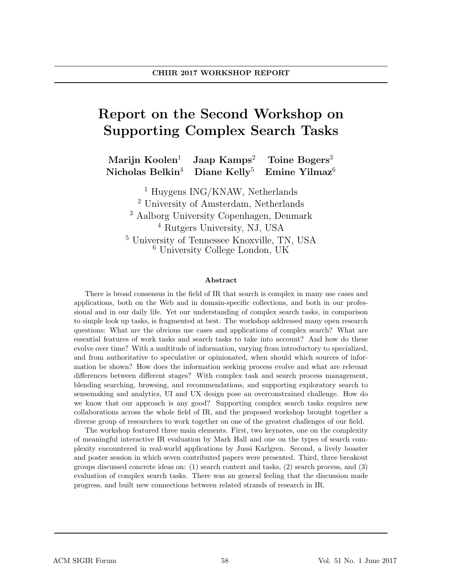# Report on the Second Workshop on Supporting Complex Search Tasks

Marijn Koolen<sup>1</sup> Jaap Kamps<sup>2</sup> Toine Bogers<sup>3</sup> Nicholas Belkin<sup>4</sup> Diane Kelly<sup>5</sup> Emine Yilmaz<sup>6</sup>

<sup>1</sup> Huygens ING/KNAW, Netherlands University of Amsterdam, Netherlands Aalborg University Copenhagen, Denmark Rutgers University, NJ, USA <sup>5</sup> University of Tennessee Knoxville, TN, USA University College London, UK

#### Abstract

There is broad consensus in the field of IR that search is complex in many use cases and applications, both on the Web and in domain-specific collections, and both in our professional and in our daily life. Yet our understanding of complex search tasks, in comparison to simple look up tasks, is fragmented at best. The workshop addressed many open research questions: What are the obvious use cases and applications of complex search? What are essential features of work tasks and search tasks to take into account? And how do these evolve over time? With a multitude of information, varying from introductory to specialized, and from authoritative to speculative or opinionated, when should which sources of information be shown? How does the information seeking process evolve and what are relevant differences between different stages? With complex task and search process management, blending searching, browsing, and recommendations, and supporting exploratory search to sensemaking and analytics, UI and UX design pose an overconstrained challenge. How do we know that our approach is any good? Supporting complex search tasks requires new collaborations across the whole field of IR, and the proposed workshop brought together a diverse group of researchers to work together on one of the greatest challenges of our field.

The workshop featured three main elements. First, two keynotes, one on the complexity of meaningful interactive IR evaluation by Mark Hall and one on the types of search complexity encountered in real-world applications by Jussi Karlgren. Second, a lively boaster and poster session in which seven contributed papers were presented. Third, three breakout groups discussed concrete ideas on: (1) search context and tasks, (2) search process, and (3) evaluation of complex search tasks. There was an general feeling that the discussion made progress, and built new connections between related strands of research in IR.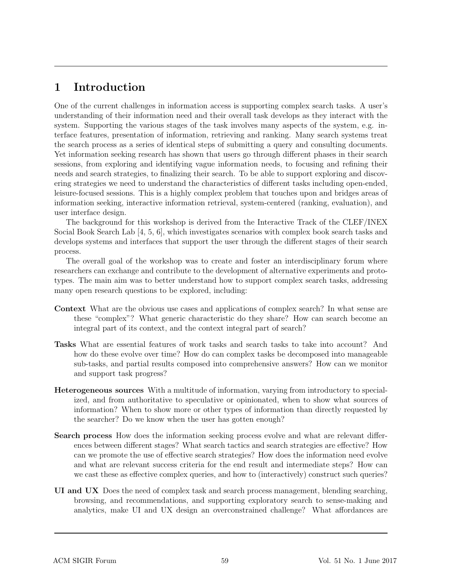## 1 Introduction

One of the current challenges in information access is supporting complex search tasks. A user's understanding of their information need and their overall task develops as they interact with the system. Supporting the various stages of the task involves many aspects of the system, e.g. interface features, presentation of information, retrieving and ranking. Many search systems treat the search process as a series of identical steps of submitting a query and consulting documents. Yet information seeking research has shown that users go through different phases in their search sessions, from exploring and identifying vague information needs, to focusing and refining their needs and search strategies, to finalizing their search. To be able to support exploring and discovering strategies we need to understand the characteristics of different tasks including open-ended, leisure-focused sessions. This is a highly complex problem that touches upon and bridges areas of information seeking, interactive information retrieval, system-centered (ranking, evaluation), and user interface design.

The background for this workshop is derived from the Interactive Track of the CLEF/INEX Social Book Search Lab [4, 5, 6], which investigates scenarios with complex book search tasks and develops systems and interfaces that support the user through the different stages of their search process.

The overall goal of the workshop was to create and foster an interdisciplinary forum where researchers can exchange and contribute to the development of alternative experiments and prototypes. The main aim was to better understand how to support complex search tasks, addressing many open research questions to be explored, including:

- Context What are the obvious use cases and applications of complex search? In what sense are these "complex"? What generic characteristic do they share? How can search become an integral part of its context, and the context integral part of search?
- Tasks What are essential features of work tasks and search tasks to take into account? And how do these evolve over time? How do can complex tasks be decomposed into manageable sub-tasks, and partial results composed into comprehensive answers? How can we monitor and support task progress?
- Heterogeneous sources With a multitude of information, varying from introductory to specialized, and from authoritative to speculative or opinionated, when to show what sources of information? When to show more or other types of information than directly requested by the searcher? Do we know when the user has gotten enough?
- Search process How does the information seeking process evolve and what are relevant differences between different stages? What search tactics and search strategies are effective? How can we promote the use of effective search strategies? How does the information need evolve and what are relevant success criteria for the end result and intermediate steps? How can we cast these as effective complex queries, and how to (interactively) construct such queries?
- UI and UX Does the need of complex task and search process management, blending searching, browsing, and recommendations, and supporting exploratory search to sense-making and analytics, make UI and UX design an overconstrained challenge? What affordances are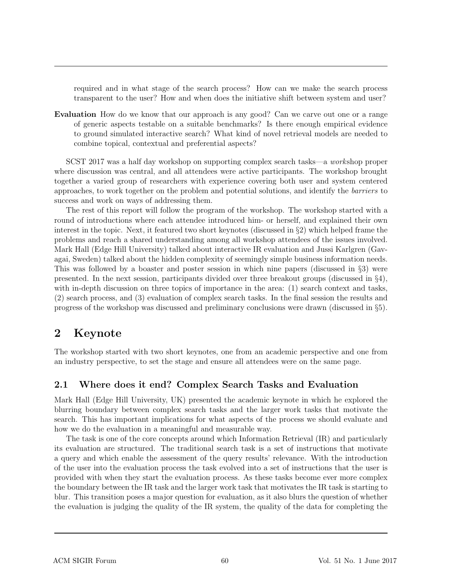required and in what stage of the search process? How can we make the search process transparent to the user? How and when does the initiative shift between system and user?

Evaluation How do we know that our approach is any good? Can we carve out one or a range of generic aspects testable on a suitable benchmarks? Is there enough empirical evidence to ground simulated interactive search? What kind of novel retrieval models are needed to combine topical, contextual and preferential aspects?

SCST 2017 was a half day workshop on supporting complex search tasks—a *workshop* proper where discussion was central, and all attendees were active participants. The workshop brought together a varied group of researchers with experience covering both user and system centered approaches, to work together on the problem and potential solutions, and identify the barriers to success and work on ways of addressing them.

The rest of this report will follow the program of the workshop. The workshop started with a round of introductions where each attendee introduced him- or herself, and explained their own interest in the topic. Next, it featured two short keynotes (discussed in §2) which helped frame the problems and reach a shared understanding among all workshop attendees of the issues involved. Mark Hall (Edge Hill University) talked about interactive IR evaluation and Jussi Karlgren (Gavagai, Sweden) talked about the hidden complexity of seemingly simple business information needs. This was followed by a boaster and poster session in which nine papers (discussed in §3) were presented. In the next session, participants divided over three breakout groups (discussed in §4), with in-depth discussion on three topics of importance in the area: (1) search context and tasks, (2) search process, and (3) evaluation of complex search tasks. In the final session the results and progress of the workshop was discussed and preliminary conclusions were drawn (discussed in §5).

### 2 Keynote

The workshop started with two short keynotes, one from an academic perspective and one from an industry perspective, to set the stage and ensure all attendees were on the same page.

#### 2.1 Where does it end? Complex Search Tasks and Evaluation

Mark Hall (Edge Hill University, UK) presented the academic keynote in which he explored the blurring boundary between complex search tasks and the larger work tasks that motivate the search. This has important implications for what aspects of the process we should evaluate and how we do the evaluation in a meaningful and measurable way.

The task is one of the core concepts around which Information Retrieval (IR) and particularly its evaluation are structured. The traditional search task is a set of instructions that motivate a query and which enable the assessment of the query results' relevance. With the introduction of the user into the evaluation process the task evolved into a set of instructions that the user is provided with when they start the evaluation process. As these tasks become ever more complex the boundary between the IR task and the larger work task that motivates the IR task is starting to blur. This transition poses a major question for evaluation, as it also blurs the question of whether the evaluation is judging the quality of the IR system, the quality of the data for completing the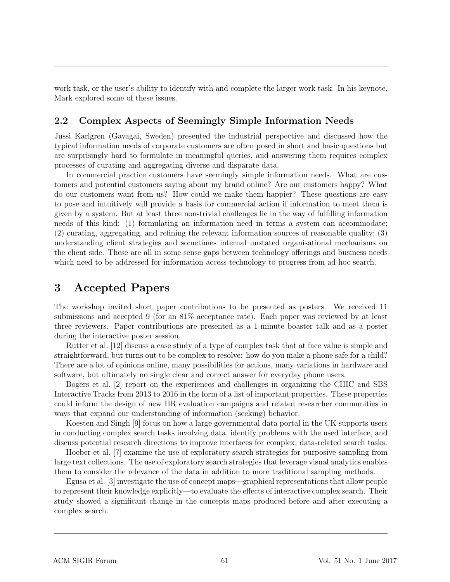work task, or the user's ability to identify with and complete the larger work task. In his keynote, Mark explored some of these issues.

#### 2.2 Complex Aspects of Seemingly Simple Information Needs

Jussi Karlgren (Gavagai, Sweden) presented the industrial perspective and discussed how the typical information needs of corporate customers are often posed in short and basic questions but are surprisingly hard to formulate in meaningful queries, and answering them requires complex processes of curating and aggregating diverse and disparate data.

In commercial practice customers have seemingly simple information needs. What are customers and potential customers saying about my brand online? Are our customers happy? What do our customers want from us? How could we make them happier? These questions are easy to pose and intuitively will provide a basis for commercial action if information to meet them is given by a system. But at least three non-trivial challenges lie in the way of fulfilling information needs of this kind: (1) formulating an information need in terms a system can accommodate; (2) curating, aggregating, and refining the relevant information sources of reasonable quality; (3) understanding client strategies and sometimes internal unstated organisational mechanisms on the client side. These are all in some sense gaps between technology offerings and business needs which need to be addressed for information access technology to progress from ad-hoc search.

### 3 Accepted Papers

The workshop invited short paper contributions to be presented as posters. We received 11 submissions and accepted 9 (for an 81% acceptance rate). Each paper was reviewed by at least three reviewers. Paper contributions are presented as a 1-minute boaster talk and as a poster during the interactive poster session.

Rutter et al. [12] discuss a case study of a type of complex task that at face value is simple and straightforward, but turns out to be complex to resolve: how do you make a phone safe for a child? There are a lot of opinions online, many possibilities for actions, many variations in hardware and software, but ultimately no single clear and correct answer for everyday phone users.

Bogers et al. [2] report on the experiences and challenges in organizing the CHIC and SBS Interactive Tracks from 2013 to 2016 in the form of a list of important properties. These properties could inform the design of new IIR evaluation campaigns and related researcher communities in ways that expand our understanding of information (seeking) behavior.

Koesten and Singh [9] focus on how a large governmental data portal in the UK supports users in conducting complex search tasks involving data, identify problems with the used interface, and discuss potential research directions to improve interfaces for complex, data-related search tasks.

Hoeber et al. [7] examine the use of exploratory search strategies for purposive sampling from large text collections. The use of exploratory search strategies that leverage visual analytics enables them to consider the relevance of the data in addition to more traditional sampling methods.

Egusa et al. [3] investigate the use of concept maps—graphical representations that allow people to represent their knowledge explicitly—to evaluate the effects of interactive complex search. Their study showed a significant change in the concepts maps produced before and after executing a complex search.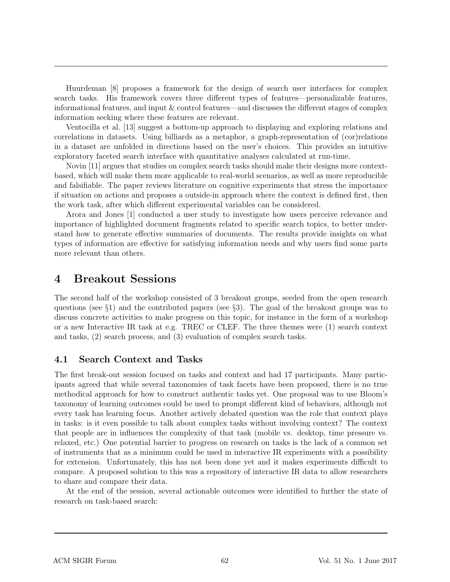Huurdeman [8] proposes a framework for the design of search user interfaces for complex search tasks. His framework covers three different types of features—personalizable features, informational features, and input & control features—and discusses the different stages of complex information seeking where these features are relevant.

Ventocilla et al. [13] suggest a bottom-up approach to displaying and exploring relations and correlations in datasets. Using billiards as a metaphor, a graph-representation of (cor)relations in a dataset are unfolded in directions based on the user's choices. This provides an intuitive exploratory faceted search interface with quantitative analyses calculated at run-time.

Novin [11] argues that studies on complex search tasks should make their designs more contextbased, which will make them more applicable to real-world scenarios, as well as more reproducible and falsifiable. The paper reviews literature on cognitive experiments that stress the importance if situation on actions and proposes a outside-in approach where the context is defined first, then the work task, after which different experimental variables can be considered.

Arora and Jones [1] conducted a user study to investigate how users perceive relevance and importance of highlighted document fragments related to specific search topics, to better understand how to generate effective summaries of documents. The results provide insights on what types of information are effective for satisfying information needs and why users find some parts more relevant than others.

### 4 Breakout Sessions

The second half of the workshop consisted of 3 breakout groups, seeded from the open research questions (see  $\S$ 1) and the contributed papers (see  $\S$ 3). The goal of the breakout groups was to discuss concrete activities to make progress on this topic, for instance in the form of a workshop or a new Interactive IR task at e.g. TREC or CLEF. The three themes were (1) search context and tasks, (2) search process, and (3) evaluation of complex search tasks.

#### 4.1 Search Context and Tasks

The first break-out session focused on tasks and context and had 17 participants. Many participants agreed that while several taxonomies of task facets have been proposed, there is no true methodical approach for how to construct authentic tasks yet. One proposal was to use Bloom's taxonomy of learning outcomes could be used to prompt different kind of behaviors, although not every task has learning focus. Another actively debated question was the role that context plays in tasks: is it even possible to talk about complex tasks without involving context? The context that people are in influences the complexity of that task (mobile vs. desktop, time pressure vs. relaxed, etc.) One potential barrier to progress on research on tasks is the lack of a common set of instruments that as a minimum could be used in interactive IR experiments with a possibility for extension. Unfortunately, this has not been done yet and it makes experiments difficult to compare. A proposed solution to this was a repository of interactive IR data to allow researchers to share and compare their data.

At the end of the session, several actionable outcomes were identified to further the state of research on task-based search: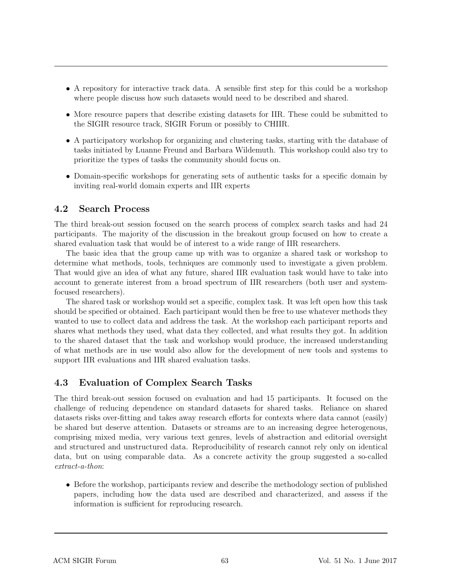- A repository for interactive track data. A sensible first step for this could be a workshop where people discuss how such datasets would need to be described and shared.
- More resource papers that describe existing datasets for IIR. These could be submitted to the SIGIR resource track, SIGIR Forum or possibly to CHIIR.
- A participatory workshop for organizing and clustering tasks, starting with the database of tasks initiated by Luanne Freund and Barbara Wildemuth. This workshop could also try to prioritize the types of tasks the community should focus on.
- Domain-specific workshops for generating sets of authentic tasks for a specific domain by inviting real-world domain experts and IIR experts

#### 4.2 Search Process

The third break-out session focused on the search process of complex search tasks and had 24 participants. The majority of the discussion in the breakout group focused on how to create a shared evaluation task that would be of interest to a wide range of IIR researchers.

The basic idea that the group came up with was to organize a shared task or workshop to determine what methods, tools, techniques are commonly used to investigate a given problem. That would give an idea of what any future, shared IIR evaluation task would have to take into account to generate interest from a broad spectrum of IIR researchers (both user and systemfocused researchers).

The shared task or workshop would set a specific, complex task. It was left open how this task should be specified or obtained. Each participant would then be free to use whatever methods they wanted to use to collect data and address the task. At the workshop each participant reports and shares what methods they used, what data they collected, and what results they got. In addition to the shared dataset that the task and workshop would produce, the increased understanding of what methods are in use would also allow for the development of new tools and systems to support IIR evaluations and IIR shared evaluation tasks.

#### 4.3 Evaluation of Complex Search Tasks

The third break-out session focused on evaluation and had 15 participants. It focused on the challenge of reducing dependence on standard datasets for shared tasks. Reliance on shared datasets risks over-fitting and takes away research efforts for contexts where data cannot (easily) be shared but deserve attention. Datasets or streams are to an increasing degree heterogenous, comprising mixed media, very various text genres, levels of abstraction and editorial oversight and structured and unstructured data. Reproducibility of research cannot rely only on identical data, but on using comparable data. As a concrete activity the group suggested a so-called extract-a-thon:

• Before the workshop, participants review and describe the methodology section of published papers, including how the data used are described and characterized, and assess if the information is sufficient for reproducing research.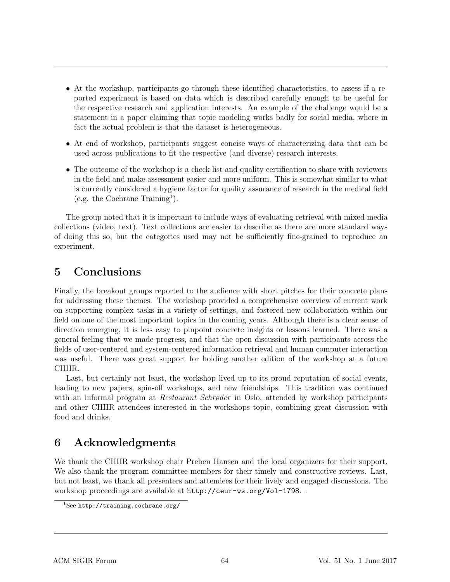- At the workshop, participants go through these identified characteristics, to assess if a reported experiment is based on data which is described carefully enough to be useful for the respective research and application interests. An example of the challenge would be a statement in a paper claiming that topic modeling works badly for social media, where in fact the actual problem is that the dataset is heterogeneous.
- At end of workshop, participants suggest concise ways of characterizing data that can be used across publications to fit the respective (and diverse) research interests.
- The outcome of the workshop is a check list and quality certification to share with reviewers in the field and make assessment easier and more uniform. This is somewhat similar to what is currently considered a hygiene factor for quality assurance of research in the medical field (e.g. the Cochrane Training<sup>1</sup> ).

The group noted that it is important to include ways of evaluating retrieval with mixed media collections (video, text). Text collections are easier to describe as there are more standard ways of doing this so, but the categories used may not be sufficiently fine-grained to reproduce an experiment.

### 5 Conclusions

Finally, the breakout groups reported to the audience with short pitches for their concrete plans for addressing these themes. The workshop provided a comprehensive overview of current work on supporting complex tasks in a variety of settings, and fostered new collaboration within our field on one of the most important topics in the coming years. Although there is a clear sense of direction emerging, it is less easy to pinpoint concrete insights or lessons learned. There was a general feeling that we made progress, and that the open discussion with participants across the fields of user-centered and system-centered information retrieval and human computer interaction was useful. There was great support for holding another edition of the workshop at a future CHIIR.

Last, but certainly not least, the workshop lived up to its proud reputation of social events, leading to new papers, spin-off workshops, and new friendships. This tradition was continued with an informal program at *Restaurant Schrøder* in Oslo, attended by workshop participants and other CHIIR attendees interested in the workshops topic, combining great discussion with food and drinks.

### 6 Acknowledgments

We thank the CHIIR workshop chair Preben Hansen and the local organizers for their support. We also thank the program committee members for their timely and constructive reviews. Last, but not least, we thank all presenters and attendees for their lively and engaged discussions. The workshop proceedings are available at http://ceur-ws.org/Vol-1798. .

<sup>&</sup>lt;sup>1</sup>See http://training.cochrane.org/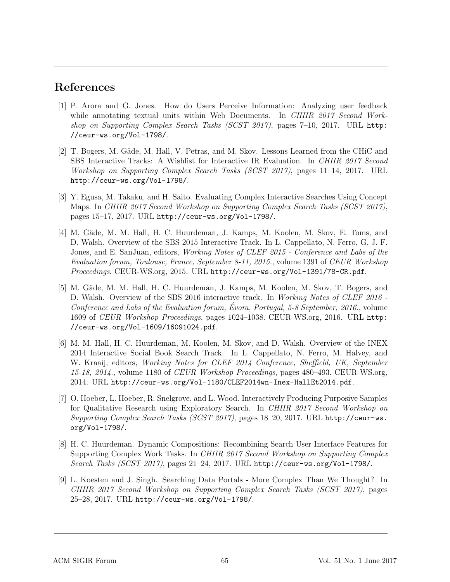### References

- [1] P. Arora and G. Jones. How do Users Perceive Information: Analyzing user feedback while annotating textual units within Web Documents. In CHIIR 2017 Second Workshop on Supporting Complex Search Tasks (SCST 2017), pages 7–10, 2017. URL http: //ceur-ws.org/Vol-1798/.
- [2] T. Bogers, M. Gäde, M. Hall, V. Petras, and M. Skov. Lessons Learned from the CHiC and SBS Interactive Tracks: A Wishlist for Interactive IR Evaluation. In CHIIR 2017 Second Workshop on Supporting Complex Search Tasks (SCST 2017), pages 11–14, 2017. URL http://ceur-ws.org/Vol-1798/.
- [3] Y. Egusa, M. Takaku, and H. Saito. Evaluating Complex Interactive Searches Using Concept Maps. In CHIIR 2017 Second Workshop on Supporting Complex Search Tasks (SCST 2017), pages 15–17, 2017. URL http://ceur-ws.org/Vol-1798/.
- [4] M. Gäde, M. M. Hall, H. C. Huurdeman, J. Kamps, M. Koolen, M. Skov, E. Toms, and D. Walsh. Overview of the SBS 2015 Interactive Track. In L. Cappellato, N. Ferro, G. J. F. Jones, and E. SanJuan, editors, *Working Notes of CLEF 2015 - Conference and Labs of the* Evaluation forum, Toulouse, France, September 8-11, 2015., volume 1391 of CEUR Workshop Proceedings. CEUR-WS.org, 2015. URL http://ceur-ws.org/Vol-1391/78-CR.pdf.
- [5] M. Gäde, M. M. Hall, H. C. Huurdeman, J. Kamps, M. Koolen, M. Skov, T. Bogers, and D. Walsh. Overview of the SBS 2016 interactive track. In *Working Notes of CLEF 2016* -Conference and Labs of the Evaluation forum, Evora, Portugal, 5-8 September, 2016., volume 1609 of CEUR Workshop Proceedings, pages 1024–1038. CEUR-WS.org, 2016. URL http: //ceur-ws.org/Vol-1609/16091024.pdf.
- [6] M. M. Hall, H. C. Huurdeman, M. Koolen, M. Skov, and D. Walsh. Overview of the INEX 2014 Interactive Social Book Search Track. In L. Cappellato, N. Ferro, M. Halvey, and W. Kraaij, editors, Working Notes for CLEF 2014 Conference, Sheffield, UK, September 15-18, 2014., volume 1180 of CEUR Workshop Proceedings, pages 480–493. CEUR-WS.org, 2014. URL http://ceur-ws.org/Vol-1180/CLEF2014wn-Inex-HallEt2014.pdf.
- [7] O. Hoeber, L. Hoeber, R. Snelgrove, and L. Wood. Interactively Producing Purposive Samples for Qualitative Research using Exploratory Search. In CHIIR 2017 Second Workshop on Supporting Complex Search Tasks (SCST 2017), pages 18–20, 2017. URL http://ceur-ws. org/Vol-1798/.
- [8] H. C. Huurdeman. Dynamic Compositions: Recombining Search User Interface Features for Supporting Complex Work Tasks. In CHIIR 2017 Second Workshop on Supporting Complex Search Tasks (SCST 2017), pages 21–24, 2017. URL http://ceur-ws.org/Vol-1798/.
- [9] L. Koesten and J. Singh. Searching Data Portals More Complex Than We Thought? In CHIIR 2017 Second Workshop on Supporting Complex Search Tasks (SCST 2017), pages 25–28, 2017. URL http://ceur-ws.org/Vol-1798/.